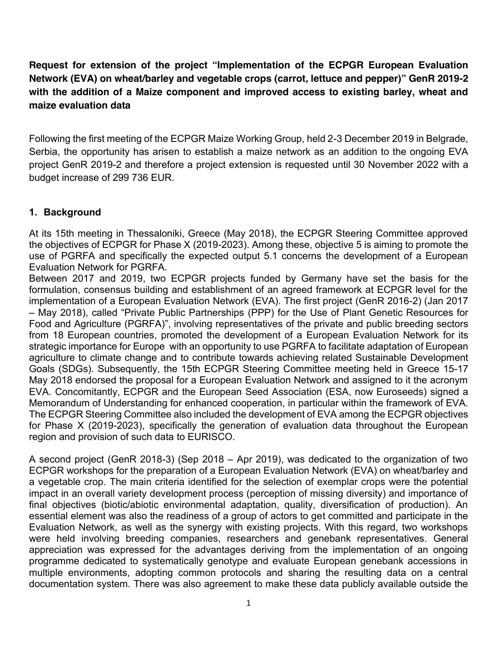**Request for extension of the project "Implementation of the ECPGR European Evaluation Network (EVA) on wheat/barley and vegetable crops (carrot, lettuce and pepper)" GenR 2019-2 with the addition of a Maize component and improved access to existing barley, wheat and maize evaluation data** 

Following the first meeting of the ECPGR Maize Working Group, held 2-3 December 2019 in Belgrade, Serbia, the opportunity has arisen to establish a maize network as an addition to the ongoing EVA project GenR 2019-2 and therefore a project extension is requested until 30 November 2022 with a budget increase of 299 736 EUR.

## **1. Background**

At its 15th meeting in Thessaloniki, Greece (May 2018), the ECPGR Steering Committee approved the objectives of ECPGR for Phase X (2019-2023). Among these, objective 5 is aiming to promote the use of PGRFA and specifically the expected output 5.1 concerns the development of a European Evaluation Network for PGRFA.

Between 2017 and 2019, two ECPGR projects funded by Germany have set the basis for the formulation, consensus building and establishment of an agreed framework at ECPGR level for the implementation of a European Evaluation Network (EVA). The first project (GenR 2016-2) (Jan 2017 – May 2018), called "Private Public Partnerships (PPP) for the Use of Plant Genetic Resources for Food and Agriculture (PGRFA)", involving representatives of the private and public breeding sectors from 18 European countries, promoted the development of a European Evaluation Network for its strategic importance for Europe with an opportunity to use PGRFA to facilitate adaptation of European agriculture to climate change and to contribute towards achieving related Sustainable Development Goals (SDGs). Subsequently, the 15th ECPGR Steering Committee meeting held in Greece 15-17 May 2018 endorsed the proposal for a European Evaluation Network and assigned to it the acronym EVA. Concomitantly, ECPGR and the European Seed Association (ESA, now Euroseeds) signed a Memorandum of Understanding for enhanced cooperation, in particular within the framework of EVA. The ECPGR Steering Committee also included the development of EVA among the ECPGR objectives for Phase X (2019-2023), specifically the generation of evaluation data throughout the European region and provision of such data to EURISCO.

A second project (GenR 2018-3) (Sep 2018 – Apr 2019), was dedicated to the organization of two ECPGR workshops for the preparation of a European Evaluation Network (EVA) on wheat/barley and a vegetable crop. The main criteria identified for the selection of exemplar crops were the potential impact in an overall variety development process (perception of missing diversity) and importance of final objectives (biotic/abiotic environmental adaptation, quality, diversification of production). An essential element was also the readiness of a group of actors to get committed and participate in the Evaluation Network, as well as the synergy with existing projects. With this regard, two workshops were held involving breeding companies, researchers and genebank representatives. General appreciation was expressed for the advantages deriving from the implementation of an ongoing programme dedicated to systematically genotype and evaluate European genebank accessions in multiple environments, adopting common protocols and sharing the resulting data on a central documentation system. There was also agreement to make these data publicly available outside the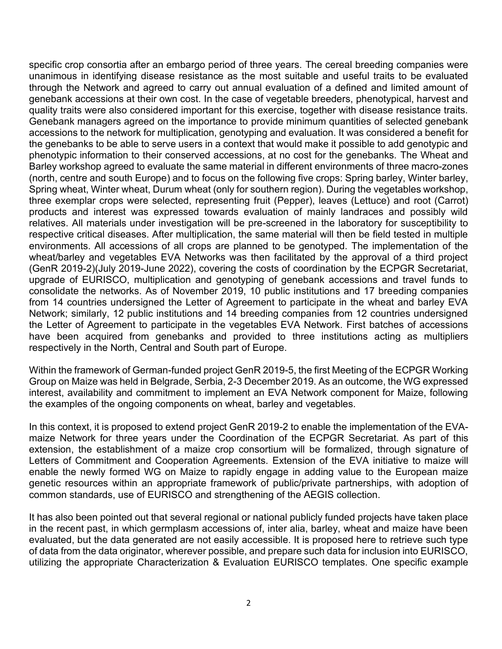specific crop consortia after an embargo period of three years. The cereal breeding companies were unanimous in identifying disease resistance as the most suitable and useful traits to be evaluated through the Network and agreed to carry out annual evaluation of a defined and limited amount of genebank accessions at their own cost. In the case of vegetable breeders, phenotypical, harvest and quality traits were also considered important for this exercise, together with disease resistance traits. Genebank managers agreed on the importance to provide minimum quantities of selected genebank accessions to the network for multiplication, genotyping and evaluation. It was considered a benefit for the genebanks to be able to serve users in a context that would make it possible to add genotypic and phenotypic information to their conserved accessions, at no cost for the genebanks. The Wheat and Barley workshop agreed to evaluate the same material in different environments of three macro-zones (north, centre and south Europe) and to focus on the following five crops: Spring barley, Winter barley, Spring wheat, Winter wheat, Durum wheat (only for southern region). During the vegetables workshop, three exemplar crops were selected, representing fruit (Pepper), leaves (Lettuce) and root (Carrot) products and interest was expressed towards evaluation of mainly landraces and possibly wild relatives. All materials under investigation will be pre-screened in the laboratory for susceptibility to respective critical diseases. After multiplication, the same material will then be field tested in multiple environments. All accessions of all crops are planned to be genotyped. The implementation of the wheat/barley and vegetables EVA Networks was then facilitated by the approval of a third project (GenR 2019-2)(July 2019-June 2022), covering the costs of coordination by the ECPGR Secretariat, upgrade of EURISCO, multiplication and genotyping of genebank accessions and travel funds to consolidate the networks. As of November 2019, 10 public institutions and 17 breeding companies from 14 countries undersigned the Letter of Agreement to participate in the wheat and barley EVA Network; similarly, 12 public institutions and 14 breeding companies from 12 countries undersigned the Letter of Agreement to participate in the vegetables EVA Network. First batches of accessions have been acquired from genebanks and provided to three institutions acting as multipliers respectively in the North, Central and South part of Europe.

Within the framework of German-funded project GenR 2019-5, the first Meeting of the ECPGR Working Group on Maize was held in Belgrade, Serbia, 2-3 December 2019. As an outcome, the WG expressed interest, availability and commitment to implement an EVA Network component for Maize, following the examples of the ongoing components on wheat, barley and vegetables.

In this context, it is proposed to extend project GenR 2019-2 to enable the implementation of the EVAmaize Network for three years under the Coordination of the ECPGR Secretariat. As part of this extension, the establishment of a maize crop consortium will be formalized, through signature of Letters of Commitment and Cooperation Agreements. Extension of the EVA initiative to maize will enable the newly formed WG on Maize to rapidly engage in adding value to the European maize genetic resources within an appropriate framework of public/private partnerships, with adoption of common standards, use of EURISCO and strengthening of the AEGIS collection.

It has also been pointed out that several regional or national publicly funded projects have taken place in the recent past, in which germplasm accessions of, inter alia, barley, wheat and maize have been evaluated, but the data generated are not easily accessible. It is proposed here to retrieve such type of data from the data originator, wherever possible, and prepare such data for inclusion into EURISCO, utilizing the appropriate Characterization & Evaluation EURISCO templates. One specific example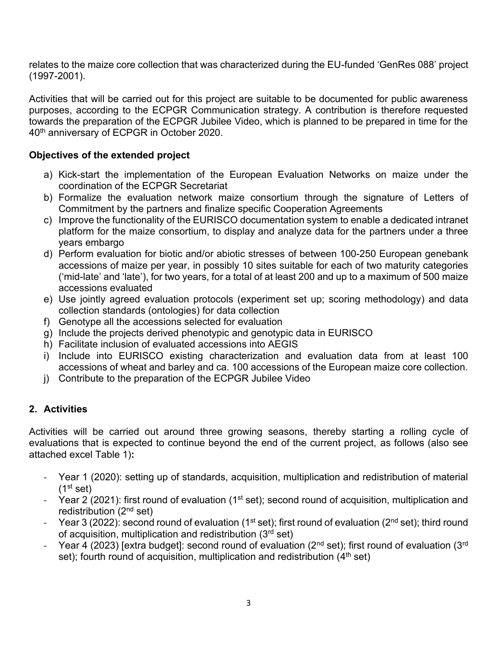relates to the maize core collection that was characterized during the EU-funded 'GenRes 088' project (1997-2001).

Activities that will be carried out for this project are suitable to be documented for public awareness purposes, according to the ECPGR Communication strategy. A contribution is therefore requested towards the preparation of the ECPGR Jubilee Video, which is planned to be prepared in time for the 40th anniversary of ECPGR in October 2020.

## **Objectives of the extended project**

- a) Kick-start the implementation of the European Evaluation Networks on maize under the coordination of the ECPGR Secretariat
- b) Formalize the evaluation network maize consortium through the signature of Letters of Commitment by the partners and finalize specific Cooperation Agreements
- c) Improve the functionality of the EURISCO documentation system to enable a dedicated intranet platform for the maize consortium, to display and analyze data for the partners under a three years embargo
- d) Perform evaluation for biotic and/or abiotic stresses of between 100-250 European genebank accessions of maize per year, in possibly 10 sites suitable for each of two maturity categories ('mid-late' and 'late'), for two years, for a total of at least 200 and up to a maximum of 500 maize accessions evaluated
- e) Use jointly agreed evaluation protocols (experiment set up; scoring methodology) and data collection standards (ontologies) for data collection
- f) Genotype all the accessions selected for evaluation
- g) Include the projects derived phenotypic and genotypic data in EURISCO
- h) Facilitate inclusion of evaluated accessions into AEGIS
- i) Include into EURISCO existing characterization and evaluation data from at least 100 accessions of wheat and barley and ca. 100 accessions of the European maize core collection.
- j) Contribute to the preparation of the ECPGR Jubilee Video

# **2. Activities**

Activities will be carried out around three growing seasons, thereby starting a rolling cycle of evaluations that is expected to continue beyond the end of the current project, as follows (also see attached excel Table 1)**:**

- Year 1 (2020): setting up of standards, acquisition, multiplication and redistribution of material  $(1<sup>st</sup> set)$
- Year 2 (2021): first round of evaluation ( $1<sup>st</sup> set$ ); second round of acquisition, multiplication and redistribution (2nd set)
- Year 3 (2022): second round of evaluation (1<sup>st</sup> set); first round of evaluation (2<sup>nd</sup> set); third round of acquisition, multiplication and redistribution (3rd set)
- Year 4 (2023) [extra budget]: second round of evaluation (2<sup>nd</sup> set); first round of evaluation (3<sup>rd</sup>) set); fourth round of acquisition, multiplication and redistribution  $(4<sup>th</sup>$  set)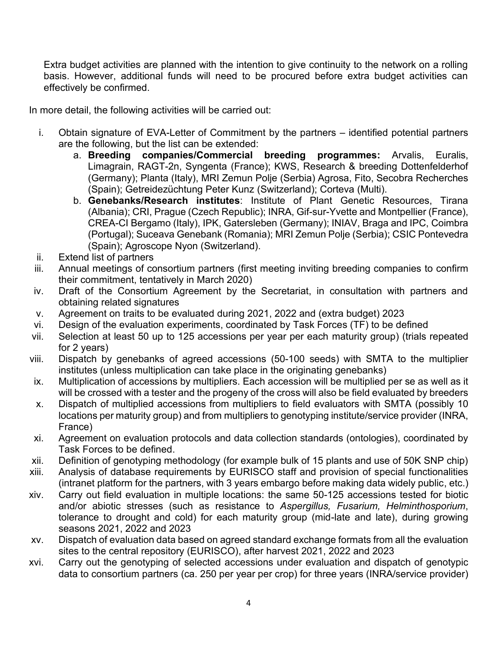Extra budget activities are planned with the intention to give continuity to the network on a rolling basis. However, additional funds will need to be procured before extra budget activities can effectively be confirmed.

In more detail, the following activities will be carried out:

- i. Obtain signature of EVA-Letter of Commitment by the partners identified potential partners are the following, but the list can be extended:
	- a. **Breeding companies/Commercial breeding programmes:** Arvalis, Euralis, Limagrain, RAGT-2n, Syngenta (France); KWS, Research & breeding Dottenfelderhof (Germany); Planta (Italy), MRI Zemun Polje (Serbia) Agrosa, Fito, Secobra Recherches (Spain); Getreidezüchtung Peter Kunz (Switzerland); Corteva (Multi).
	- b. **Genebanks/Research institutes**: Institute of Plant Genetic Resources, Tirana (Albania); CRI, Prague (Czech Republic); INRA, Gif-sur-Yvette and Montpellier (France), CREA-CI Bergamo (Italy), IPK, Gatersleben (Germany); INIAV, Braga and IPC, Coimbra (Portugal); Suceava Genebank (Romania); MRI Zemun Polje (Serbia); CSIC Pontevedra (Spain); Agroscope Nyon (Switzerland).
- ii. Extend list of partners
- iii. Annual meetings of consortium partners (first meeting inviting breeding companies to confirm their commitment, tentatively in March 2020)
- iv. Draft of the Consortium Agreement by the Secretariat, in consultation with partners and obtaining related signatures
- v. Agreement on traits to be evaluated during 2021, 2022 and (extra budget) 2023
- vi. Design of the evaluation experiments, coordinated by Task Forces (TF) to be defined
- vii. Selection at least 50 up to 125 accessions per year per each maturity group) (trials repeated for 2 years)
- viii. Dispatch by genebanks of agreed accessions (50-100 seeds) with SMTA to the multiplier institutes (unless multiplication can take place in the originating genebanks)
- ix. Multiplication of accessions by multipliers. Each accession will be multiplied per se as well as it will be crossed with a tester and the progeny of the cross will also be field evaluated by breeders
- x. Dispatch of multiplied accessions from multipliers to field evaluators with SMTA (possibly 10 locations per maturity group) and from multipliers to genotyping institute/service provider (INRA, France)
- xi. Agreement on evaluation protocols and data collection standards (ontologies), coordinated by Task Forces to be defined.
- xii. Definition of genotyping methodology (for example bulk of 15 plants and use of 50K SNP chip)
- xiii. Analysis of database requirements by EURISCO staff and provision of special functionalities (intranet platform for the partners, with 3 years embargo before making data widely public, etc.)
- xiv. Carry out field evaluation in multiple locations: the same 50-125 accessions tested for biotic and/or abiotic stresses (such as resistance to *Aspergillus, Fusarium, Helminthosporium*, tolerance to drought and cold) for each maturity group (mid-late and late), during growing seasons 2021, 2022 and 2023
- xv. Dispatch of evaluation data based on agreed standard exchange formats from all the evaluation sites to the central repository (EURISCO), after harvest 2021, 2022 and 2023
- xvi. Carry out the genotyping of selected accessions under evaluation and dispatch of genotypic data to consortium partners (ca. 250 per year per crop) for three years (INRA/service provider)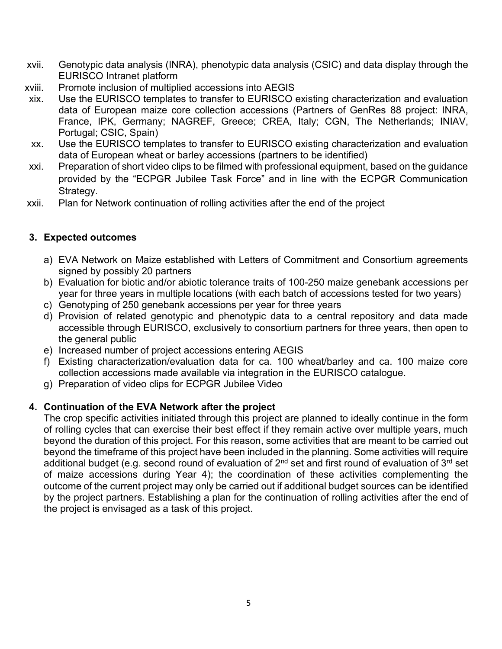- xvii. Genotypic data analysis (INRA), phenotypic data analysis (CSIC) and data display through the EURISCO Intranet platform
- xviii. Promote inclusion of multiplied accessions into AEGIS
- xix. Use the EURISCO templates to transfer to EURISCO existing characterization and evaluation data of European maize core collection accessions (Partners of GenRes 88 project: INRA, France, IPK, Germany; NAGREF, Greece; CREA, Italy; CGN, The Netherlands; INIAV, Portugal; CSIC, Spain)
- xx. Use the EURISCO templates to transfer to EURISCO existing characterization and evaluation data of European wheat or barley accessions (partners to be identified)
- xxi. Preparation of short video clips to be filmed with professional equipment, based on the guidance provided by the "ECPGR Jubilee Task Force" and in line with the ECPGR Communication Strategy.
- xxii. Plan for Network continuation of rolling activities after the end of the project

#### **3. Expected outcomes**

- a) EVA Network on Maize established with Letters of Commitment and Consortium agreements signed by possibly 20 partners
- b) Evaluation for biotic and/or abiotic tolerance traits of 100-250 maize genebank accessions per year for three years in multiple locations (with each batch of accessions tested for two years)
- c) Genotyping of 250 genebank accessions per year for three years
- d) Provision of related genotypic and phenotypic data to a central repository and data made accessible through EURISCO, exclusively to consortium partners for three years, then open to the general public
- e) Increased number of project accessions entering AEGIS
- f) Existing characterization/evaluation data for ca. 100 wheat/barley and ca. 100 maize core collection accessions made available via integration in the EURISCO catalogue.
- g) Preparation of video clips for ECPGR Jubilee Video

## **4. Continuation of the EVA Network after the project**

The crop specific activities initiated through this project are planned to ideally continue in the form of rolling cycles that can exercise their best effect if they remain active over multiple years, much beyond the duration of this project. For this reason, some activities that are meant to be carried out beyond the timeframe of this project have been included in the planning. Some activities will require additional budget (e.g. second round of evaluation of  $2^{nd}$  set and first round of evaluation of  $3^{rd}$  set of maize accessions during Year 4); the coordination of these activities complementing the outcome of the current project may only be carried out if additional budget sources can be identified by the project partners. Establishing a plan for the continuation of rolling activities after the end of the project is envisaged as a task of this project.